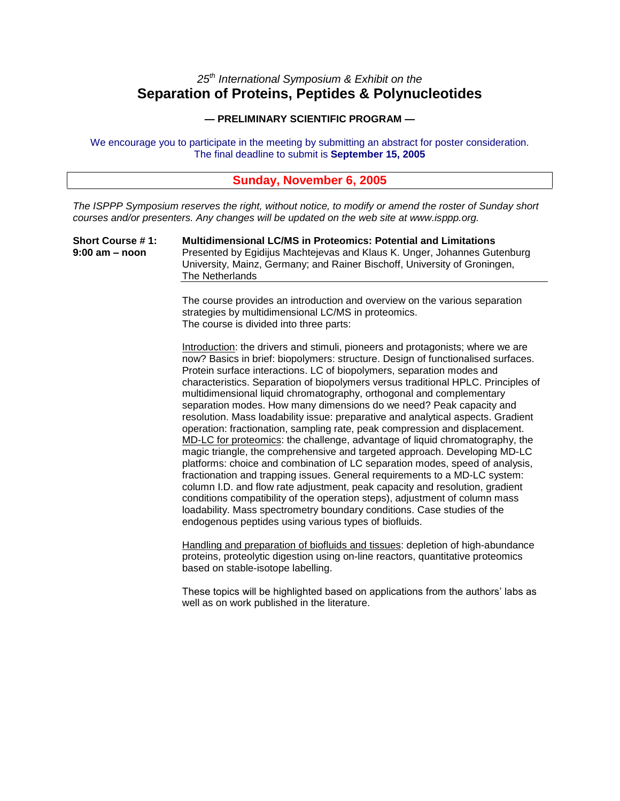## *25th International Symposium & Exhibit on the* **Separation of Proteins, Peptides & Polynucleotides**

#### **— PRELIMINARY SCIENTIFIC PROGRAM —**

We encourage you to participate in the meeting by submitting an abstract for poster consideration. The final deadline to submit is **September 15, 2005**

### **Sunday, November 6, 2005**

*The ISPPP Symposium reserves the right, without notice, to modify or amend the roster of Sunday short courses and/or presenters. Any changes will be updated on the web site at www.isppp.org.*

**Short Course # 1: Multidimensional LC/MS in Proteomics: Potential and Limitations 9:00 am –noon** Presented by Egidijus Machtejevas and Klaus K. Unger, Johannes Gutenburg University, Mainz, Germany; and Rainer Bischoff, University of Groningen, The Netherlands

> The course provides an introduction and overview on the various separation strategies by multidimensional LC/MS in proteomics. The course is divided into three parts:

Introduction: the drivers and stimuli, pioneers and protagonists; where we are now? Basics in brief: biopolymers: structure. Design of functionalised surfaces. Protein surface interactions. LC of biopolymers, separation modes and characteristics. Separation of biopolymers versus traditional HPLC. Principles of multidimensional liquid chromatography, orthogonal and complementary separation modes. How many dimensions do we need? Peak capacity and resolution. Mass loadability issue: preparative and analytical aspects. Gradient operation: fractionation, sampling rate, peak compression and displacement. MD-LC for proteomics: the challenge, advantage of liquid chromatography, the magic triangle, the comprehensive and targeted approach. Developing MD-LC platforms: choice and combination of LC separation modes, speed of analysis, fractionation and trapping issues. General requirements to a MD-LC system: column I.D. and flow rate adjustment, peak capacity and resolution, gradient conditions compatibility of the operation steps), adjustment of column mass loadability. Mass spectrometry boundary conditions. Case studies of the endogenous peptides using various types of biofluids.

Handling and preparation of biofluids and tissues: depletion of high-abundance proteins, proteolytic digestion using on-line reactors, quantitative proteomics based on stable-isotope labelling.

These topics will be highlighted based on applications from the authors' labs as well as on work published in the literature.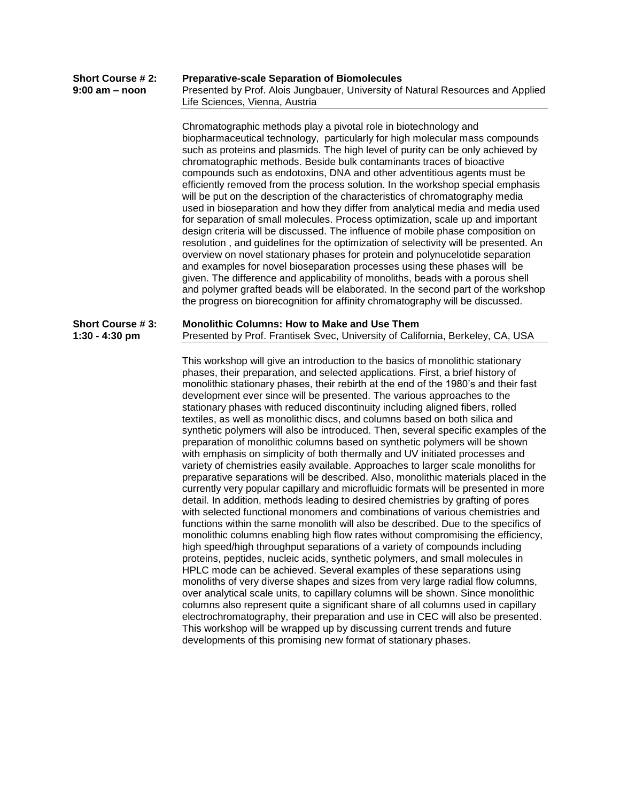| <b>Short Course # 2:</b> | <b>Preparative-scale Separation of Biomolecules</b>                             |
|--------------------------|---------------------------------------------------------------------------------|
| 9:00 am – noon           | Presented by Prof. Alois Jungbauer, University of Natural Resources and Applied |
|                          | Life Sciences. Vienna. Austria                                                  |
|                          |                                                                                 |

Chromatographic methods play a pivotal role in biotechnology and biopharmaceutical technology, particularly for high molecular mass compounds such as proteins and plasmids. The high level of purity can be only achieved by chromatographic methods. Beside bulk contaminants traces of bioactive compounds such as endotoxins, DNA and other adventitious agents must be efficiently removed from the process solution. In the workshop special emphasis will be put on the description of the characteristics of chromatography media used in bioseparation and how they differ from analytical media and media used for separation of small molecules. Process optimization, scale up and important design criteria will be discussed. The influence of mobile phase composition on resolution , and guidelines for the optimization of selectivity will be presented. An overview on novel stationary phases for protein and polynucelotide separation and examples for novel bioseparation processes using these phases will be given. The difference and applicability of monoliths, beads with a porous shell and polymer grafted beads will be elaborated. In the second part of the workshop the progress on biorecognition for affinity chromatography will be discussed.

#### **Short Course # 3: Monolithic Columns: How to Make and Use Them 1:30 - 4:30 pm** Presented by Prof. Frantisek Svec, University of California, Berkeley, CA, USA

This workshop will give an introduction to the basics of monolithic stationary phases, their preparation, and selected applications. First, a brief history of monolithic stationary phases, their rebirth at the end of the 1980's and their fast development ever since will be presented. The various approaches to the stationary phases with reduced discontinuity including aligned fibers, rolled textiles, as well as monolithic discs, and columns based on both silica and synthetic polymers will also be introduced. Then, several specific examples of the preparation of monolithic columns based on synthetic polymers will be shown with emphasis on simplicity of both thermally and UV initiated processes and variety of chemistries easily available. Approaches to larger scale monoliths for preparative separations will be described. Also, monolithic materials placed in the currently very popular capillary and microfluidic formats will be presented in more detail. In addition, methods leading to desired chemistries by grafting of pores with selected functional monomers and combinations of various chemistries and functions within the same monolith will also be described. Due to the specifics of monolithic columns enabling high flow rates without compromising the efficiency, high speed/high throughput separations of a variety of compounds including proteins, peptides, nucleic acids, synthetic polymers, and small molecules in HPLC mode can be achieved. Several examples of these separations using monoliths of very diverse shapes and sizes from very large radial flow columns, over analytical scale units, to capillary columns will be shown. Since monolithic columns also represent quite a significant share of all columns used in capillary electrochromatography, their preparation and use in CEC will also be presented. This workshop will be wrapped up by discussing current trends and future developments of this promising new format of stationary phases.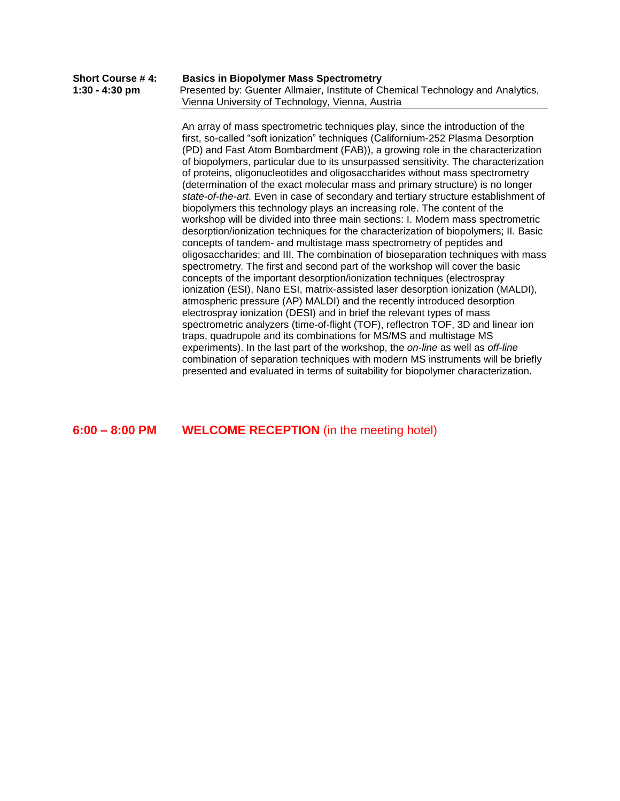| Short Course # 4: | <b>Basics in Biopolymer Mass Spectrometry</b>                                   |
|-------------------|---------------------------------------------------------------------------------|
| 1:30 - 4:30 pm    | Presented by: Guenter Allmaier, Institute of Chemical Technology and Analytics, |
|                   | Vienna University of Technology, Vienna, Austria                                |

An array of mass spectrometric techniques play, since the introduction of the first, so-called "soft ionization" techniques (Californium-252 Plasma Desorption (PD) and Fast Atom Bombardment (FAB)), a growing role in the characterization of biopolymers, particular due to its unsurpassed sensitivity. The characterization of proteins, oligonucleotides and oligosaccharides without mass spectrometry (determination of the exact molecular mass and primary structure) is no longer *state-of-the-art*. Even in case of secondary and tertiary structure establishment of biopolymers this technology plays an increasing role. The content of the workshop will be divided into three main sections: I. Modern mass spectrometric desorption/ionization techniques for the characterization of biopolymers; II. Basic concepts of tandem- and multistage mass spectrometry of peptides and oligosaccharides; and III. The combination of bioseparation techniques with mass spectrometry. The first and second part of the workshop will cover the basic concepts of the important desorption/ionization techniques (electrospray ionization (ESI), Nano ESI, matrix-assisted laser desorption ionization (MALDI), atmospheric pressure (AP) MALDI) and the recently introduced desorption electrospray ionization (DESI) and in brief the relevant types of mass spectrometric analyzers (time-of-flight (TOF), reflectron TOF, 3D and linear ion traps, quadrupole and its combinations for MS/MS and multistage MS experiments). In the last part of the workshop, the *on-line* as well as *off-line* combination of separation techniques with modern MS instruments will be briefly presented and evaluated in terms of suitability for biopolymer characterization.

**6:00 –8:00 PM WELCOME RECEPTION** (in the meeting hotel)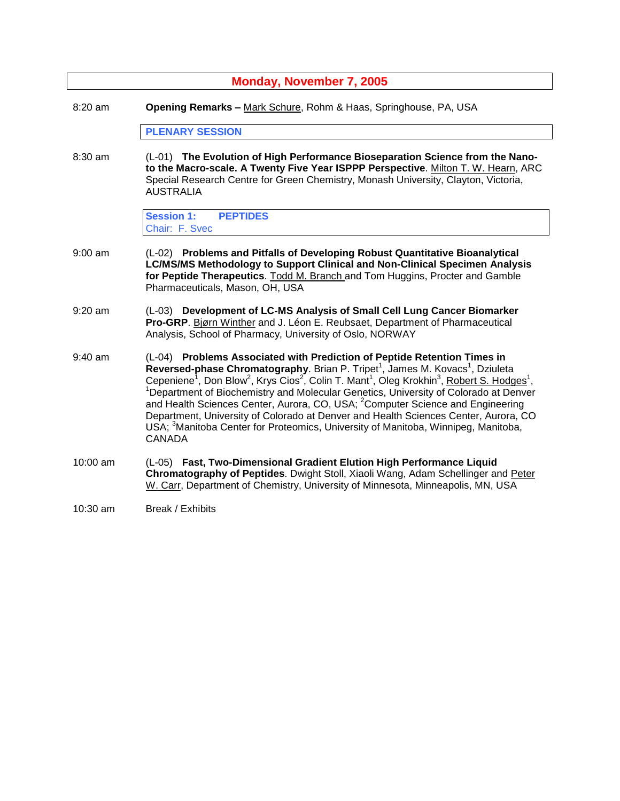| Monday, November 7, 2005 |                                                                                                                                                                                                                                                                                                                                                                                                                                                                                                                                                                                                                                                                                                                                                                    |
|--------------------------|--------------------------------------------------------------------------------------------------------------------------------------------------------------------------------------------------------------------------------------------------------------------------------------------------------------------------------------------------------------------------------------------------------------------------------------------------------------------------------------------------------------------------------------------------------------------------------------------------------------------------------------------------------------------------------------------------------------------------------------------------------------------|
| $8:20$ am                | Opening Remarks - Mark Schure, Rohm & Haas, Springhouse, PA, USA                                                                                                                                                                                                                                                                                                                                                                                                                                                                                                                                                                                                                                                                                                   |
|                          | <b>PLENARY SESSION</b>                                                                                                                                                                                                                                                                                                                                                                                                                                                                                                                                                                                                                                                                                                                                             |
| 8:30 am                  | (L-01) The Evolution of High Performance Bioseparation Science from the Nano-<br>to the Macro-scale. A Twenty Five Year ISPPP Perspective. Milton T. W. Hearn, ARC<br>Special Research Centre for Green Chemistry, Monash University, Clayton, Victoria,<br><b>AUSTRALIA</b>                                                                                                                                                                                                                                                                                                                                                                                                                                                                                       |
|                          | <b>Session 1:</b><br><b>PEPTIDES</b><br>Chair: F. Svec                                                                                                                                                                                                                                                                                                                                                                                                                                                                                                                                                                                                                                                                                                             |
| $9:00$ am                | (L-02) Problems and Pitfalls of Developing Robust Quantitative Bioanalytical<br>LC/MS/MS Methodology to Support Clinical and Non-Clinical Specimen Analysis<br>for Peptide Therapeutics. Todd M. Branch and Tom Huggins, Procter and Gamble<br>Pharmaceuticals, Mason, OH, USA                                                                                                                                                                                                                                                                                                                                                                                                                                                                                     |
| $9:20$ am                | (L-03) Development of LC-MS Analysis of Small Cell Lung Cancer Biomarker<br>Pro-GRP. Bjørn Winther and J. Léon E. Reubsaet, Department of Pharmaceutical<br>Analysis, School of Pharmacy, University of Oslo, NORWAY                                                                                                                                                                                                                                                                                                                                                                                                                                                                                                                                               |
| $9:40$ am                | (L-04) Problems Associated with Prediction of Peptide Retention Times in<br>Reversed-phase Chromatography. Brian P. Tripet <sup>1</sup> , James M. Kovacs <sup>1</sup> , Dziuleta<br>Cepeniene <sup>1</sup> , Don Blow <sup>2</sup> , Krys Cios <sup>2</sup> , Colin T. Mant <sup>1</sup> , Oleg Krokhin <sup>3</sup> , Robert S. Hodges <sup>1</sup> ,<br><sup>1</sup> Department of Biochemistry and Molecular Genetics, University of Colorado at Denver<br>and Health Sciences Center, Aurora, CO, USA; <sup>2</sup> Computer Science and Engineering<br>Department, University of Colorado at Denver and Health Sciences Center, Aurora, CO<br>USA; <sup>3</sup> Manitoba Center for Proteomics, University of Manitoba, Winnipeg, Manitoba,<br><b>CANADA</b> |
| 10:00 am                 | (L-05) Fast, Two-Dimensional Gradient Elution High Performance Liquid<br>Chromatography of Peptides. Dwight Stoll, Xiaoli Wang, Adam Schellinger and Peter<br>W. Carr, Department of Chemistry, University of Minnesota, Minneapolis, MN, USA                                                                                                                                                                                                                                                                                                                                                                                                                                                                                                                      |
| $10:30$ am               | Break / Exhibits                                                                                                                                                                                                                                                                                                                                                                                                                                                                                                                                                                                                                                                                                                                                                   |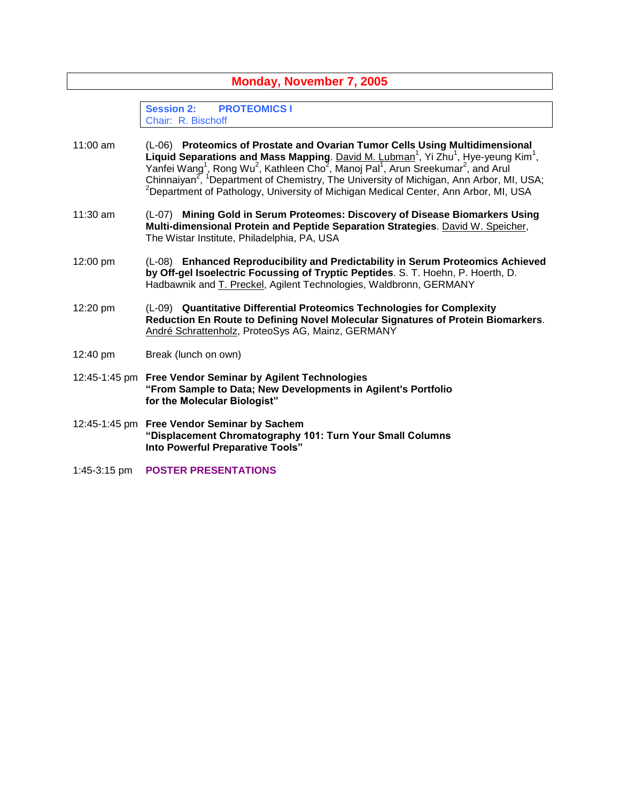| Monday, November 7, 2005 |                                                                                                                                                                                                                                                                                                                                                                                                                                                                                                                                                                               |
|--------------------------|-------------------------------------------------------------------------------------------------------------------------------------------------------------------------------------------------------------------------------------------------------------------------------------------------------------------------------------------------------------------------------------------------------------------------------------------------------------------------------------------------------------------------------------------------------------------------------|
|                          | <b>Session 2:</b><br><b>PROTEOMICS I</b><br>Chair: R. Bischoff                                                                                                                                                                                                                                                                                                                                                                                                                                                                                                                |
| $11:00$ am               | (L-06) Proteomics of Prostate and Ovarian Tumor Cells Using Multidimensional<br>Liquid Separations and Mass Mapping. David M. Lubman <sup>1</sup> , Yi Zhu <sup>1</sup> , Hye-yeung Kim <sup>1</sup> ,<br>Yanfei Wang <sup>1</sup> , Rong Wu <sup>2</sup> , Kathleen Cho <sup>2</sup> , Manoj Pal <sup>1</sup> , Arun Sreekumar <sup>2</sup> , and Arul<br>Chinnaiyan <sup>2</sup> , <sup>1</sup> Department of Chemistry, The University of Michigan, Ann Arbor, MI, USA;<br><sup>2</sup> Department of Pathology, University of Michigan Medical Center, Ann Arbor, MI, USA |
| 11:30 am                 | (L-07) Mining Gold in Serum Proteomes: Discovery of Disease Biomarkers Using<br>Multi-dimensional Protein and Peptide Separation Strategies. David W. Speicher,<br>The Wistar Institute, Philadelphia, PA, USA                                                                                                                                                                                                                                                                                                                                                                |
| 12:00 pm                 | (L-08) Enhanced Reproducibility and Predictability in Serum Proteomics Achieved<br>by Off-gel Isoelectric Focussing of Tryptic Peptides. S. T. Hoehn, P. Hoerth, D.<br>Hadbawnik and T. Preckel, Agilent Technologies, Waldbronn, GERMANY                                                                                                                                                                                                                                                                                                                                     |
| 12:20 pm                 | (L-09) Quantitative Differential Proteomics Technologies for Complexity<br>Reduction En Route to Defining Novel Molecular Signatures of Protein Biomarkers.<br>André Schrattenholz, ProteoSys AG, Mainz, GERMANY                                                                                                                                                                                                                                                                                                                                                              |
| 12:40 pm                 | Break (lunch on own)                                                                                                                                                                                                                                                                                                                                                                                                                                                                                                                                                          |
|                          | 12:45-1:45 pm Free Vendor Seminar by Agilent Technologies<br>"From Sample to Data; New Developments in Agilent's Portfolio<br>for the Molecular Biologist"                                                                                                                                                                                                                                                                                                                                                                                                                    |
|                          | 12:45-1:45 pm Free Vendor Seminar by Sachem<br>"Displacement Chromatography 101: Turn Your Small Columns<br>Into Powerful Preparative Tools"                                                                                                                                                                                                                                                                                                                                                                                                                                  |
| $1:45-3:15$ pm           | <b>POSTER PRESENTATIONS</b>                                                                                                                                                                                                                                                                                                                                                                                                                                                                                                                                                   |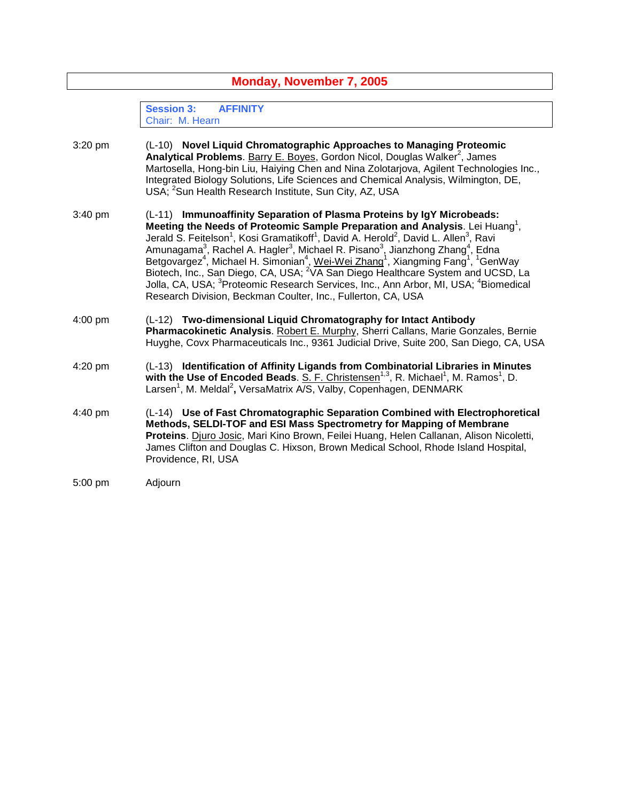| Monday, November 7, 2005 |                                                                                                                                                                                                                                                                                                                                                                                                                                                                                                                                                                                                                                                                                                                                                                                                                                                                           |
|--------------------------|---------------------------------------------------------------------------------------------------------------------------------------------------------------------------------------------------------------------------------------------------------------------------------------------------------------------------------------------------------------------------------------------------------------------------------------------------------------------------------------------------------------------------------------------------------------------------------------------------------------------------------------------------------------------------------------------------------------------------------------------------------------------------------------------------------------------------------------------------------------------------|
|                          | <b>Session 3:</b><br><b>AFFINITY</b><br>Chair: M. Hearn                                                                                                                                                                                                                                                                                                                                                                                                                                                                                                                                                                                                                                                                                                                                                                                                                   |
| 3:20 pm                  | (L-10) Novel Liquid Chromatographic Approaches to Managing Proteomic<br>Analytical Problems. Barry E. Boyes, Gordon Nicol, Douglas Walker <sup>2</sup> , James<br>Martosella, Hong-bin Liu, Haiying Chen and Nina Zolotarjova, Agilent Technologies Inc.,<br>Integrated Biology Solutions, Life Sciences and Chemical Analysis, Wilmington, DE,<br>USA; <sup>2</sup> Sun Health Research Institute, Sun City, AZ, USA                                                                                                                                                                                                                                                                                                                                                                                                                                                     |
| 3:40 pm                  | (L-11) Immunoaffinity Separation of Plasma Proteins by IgY Microbeads:<br>Meeting the Needs of Proteomic Sample Preparation and Analysis. Lei Huang <sup>1</sup> ,<br>Jerald S. Feitelson <sup>1</sup> , Kosi Gramatikoff <sup>1</sup> , David A. Herold <sup>2</sup> , David L. Allen <sup>3</sup> , Ravi<br>Amunagama <sup>3</sup> , Rachel A. Hagler <sup>3</sup> , Michael R. Pisano <sup>3</sup> , Jianzhong Zhang <sup>4</sup> , Edna<br>Betgovargez <sup>4</sup> , Michael H. Simonian <sup>4</sup> , Wei-Wei Zhang <sup>1</sup> , Xiangming Fang <sup>1</sup> , <sup>1</sup> GenWay<br>Biotech, Inc., San Diego, CA, USA; <sup>2</sup> VA San Diego Healthcare System and UCSD, La<br>Jolla, CA, USA; <sup>3</sup> Proteomic Research Services, Inc., Ann Arbor, MI, USA; <sup>4</sup> Biomedical<br>Research Division, Beckman Coulter, Inc., Fullerton, CA, USA |
| $4:00$ pm                | (L-12) Two-dimensional Liquid Chromatography for Intact Antibody<br>Pharmacokinetic Analysis. Robert E. Murphy, Sherri Callans, Marie Gonzales, Bernie<br>Huyghe, Covx Pharmaceuticals Inc., 9361 Judicial Drive, Suite 200, San Diego, CA, USA                                                                                                                                                                                                                                                                                                                                                                                                                                                                                                                                                                                                                           |
| 4:20 pm                  | (L-13) Identification of Affinity Ligands from Combinatorial Libraries in Minutes<br>with the Use of Encoded Beads. $S. F. Christensen1,3, R. Michael1, M. Ramos1, D.$<br>Larsen <sup>1</sup> , M. Meldal <sup>2</sup> , VersaMatrix A/S, Valby, Copenhagen, DENMARK                                                                                                                                                                                                                                                                                                                                                                                                                                                                                                                                                                                                      |
| 4:40 pm                  | (L-14) Use of Fast Chromatographic Separation Combined with Electrophoretical<br>Methods, SELDI-TOF and ESI Mass Spectrometry for Mapping of Membrane<br>Proteins. Djuro Josic, Mari Kino Brown, Feilei Huang, Helen Callanan, Alison Nicoletti,<br>James Clifton and Douglas C. Hixson, Brown Medical School, Rhode Island Hospital,<br>Providence, RI, USA                                                                                                                                                                                                                                                                                                                                                                                                                                                                                                              |
| 5:00 pm                  | Adjourn                                                                                                                                                                                                                                                                                                                                                                                                                                                                                                                                                                                                                                                                                                                                                                                                                                                                   |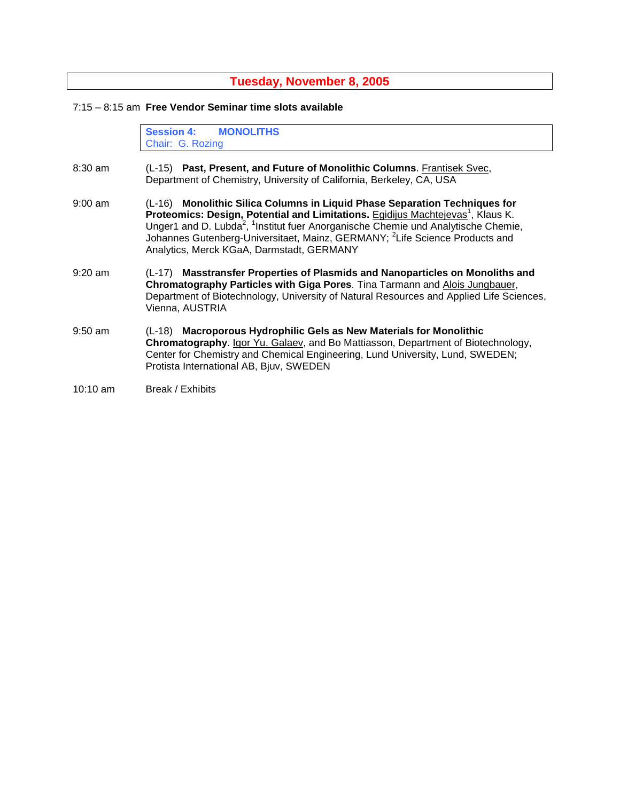**Tuesday, November 8, 2005**

7:15 –8:15 am **Free Vendor Seminar time slots available**

**Session 4: MONOLITHS** Chair: G. Rozing

- 8:30 am (L-15) **Past, Present, and Future of Monolithic Columns**. Frantisek Svec, Department of Chemistry, University of California, Berkeley, CA, USA
- 9:00 am (L-16) **Monolithic Silica Columns in Liquid Phase Separation Techniques for** Proteomics: Design, Potential and Limitations. Egidijus Machtejevas<sup>1</sup>, Klaus K. Unger1 and D. Lubda<sup>2</sup>, <sup>1</sup>Institut fuer Anorganische Chemie und Analytische Chemie, Johannes Gutenberg-Universitaet, Mainz, GERMANY; <sup>2</sup>Life Science Products and Analytics, Merck KGaA, Darmstadt, GERMANY
- 9:20 am (L-17) **Masstransfer Properties of Plasmids and Nanoparticles on Monoliths and Chromatography Particles with Giga Pores**. Tina Tarmann and Alois Jungbauer, Department of Biotechnology, University of Natural Resources and Applied Life Sciences, Vienna, AUSTRIA
- 9:50 am (L-18) **Macroporous Hydrophilic Gels as New Materials for Monolithic Chromatography**. Igor Yu. Galaev, and Bo Mattiasson, Department of Biotechnology, Center for Chemistry and Chemical Engineering, Lund University, Lund, SWEDEN; Protista International AB, Bjuv, SWEDEN
- 10:10 am Break / Exhibits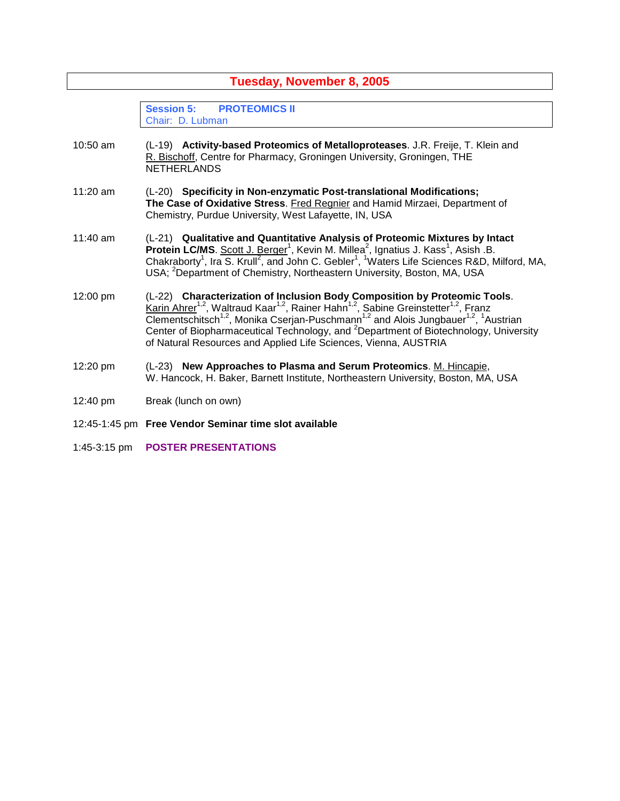| Tuesday, November 8, 2005 |                                                                                                                                                                                                                                                                                                                                                                                                                                                                                                                                |
|---------------------------|--------------------------------------------------------------------------------------------------------------------------------------------------------------------------------------------------------------------------------------------------------------------------------------------------------------------------------------------------------------------------------------------------------------------------------------------------------------------------------------------------------------------------------|
|                           | <b>Session 5:</b><br><b>PROTEOMICS II</b><br>Chair: D. Lubman                                                                                                                                                                                                                                                                                                                                                                                                                                                                  |
| $10:50$ am                | (L-19) Activity-based Proteomics of Metalloproteases. J.R. Freije, T. Klein and<br>R. Bischoff, Centre for Pharmacy, Groningen University, Groningen, THE<br><b>NETHERLANDS</b>                                                                                                                                                                                                                                                                                                                                                |
| $11:20$ am                | (L-20) Specificity in Non-enzymatic Post-translational Modifications;<br>The Case of Oxidative Stress. Fred Regnier and Hamid Mirzaei, Department of<br>Chemistry, Purdue University, West Lafayette, IN, USA                                                                                                                                                                                                                                                                                                                  |
| $11:40$ am                | (L-21) Qualitative and Quantitative Analysis of Proteomic Mixtures by Intact<br>Protein LC/MS. Scott J. Berger <sup>1</sup> , Kevin M. Millea <sup>2</sup> , Ignatius J. Kass <sup>1</sup> , Asish .B.<br>Chakraborty <sup>1</sup> , Ira S. Krull <sup>2</sup> , and John C. Gebler <sup>1</sup> , <sup>1</sup> Waters Life Sciences R&D, Milford, MA,<br>USA; <sup>2</sup> Department of Chemistry, Northeastern University, Boston, MA, USA                                                                                  |
| 12:00 pm                  | (L-22) Characterization of Inclusion Body Composition by Proteomic Tools.<br>Karin Ahrer <sup>1,2</sup> , Waltraud Kaar <sup>1,2</sup> , Rainer Hahn <sup>1,2</sup> , Sabine Greinstetter <sup>1,2</sup> , Franz<br>Clementschitsch <sup>1,2</sup> , Monika Cserjan-Puschmann <sup>1,2</sup> and Alois Jungbauer <sup>1,2</sup> , <sup>1</sup> Austrian<br>Center of Biopharmaceutical Technology, and <sup>2</sup> Department of Biotechnology, University<br>of Natural Resources and Applied Life Sciences, Vienna, AUSTRIA |
| 12:20 pm                  | (L-23) New Approaches to Plasma and Serum Proteomics. M. Hincapie,<br>W. Hancock, H. Baker, Barnett Institute, Northeastern University, Boston, MA, USA                                                                                                                                                                                                                                                                                                                                                                        |
| 12:40 pm                  | Break (lunch on own)                                                                                                                                                                                                                                                                                                                                                                                                                                                                                                           |
|                           | 12:45-1:45 pm Free Vendor Seminar time slot available                                                                                                                                                                                                                                                                                                                                                                                                                                                                          |
| 1:45-3:15 pm              | <b>POSTER PRESENTATIONS</b>                                                                                                                                                                                                                                                                                                                                                                                                                                                                                                    |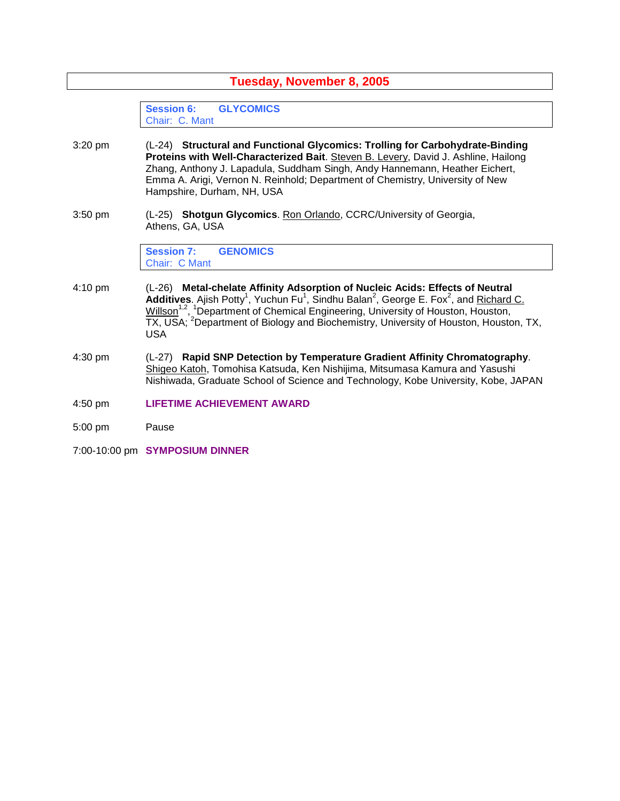| Tuesday, November 8, 2005 |                                                                                                                                                                                                                                                                                                                                                                                                                                                         |
|---------------------------|---------------------------------------------------------------------------------------------------------------------------------------------------------------------------------------------------------------------------------------------------------------------------------------------------------------------------------------------------------------------------------------------------------------------------------------------------------|
|                           | <b>Session 6:</b><br><b>GLYCOMICS</b><br>Chair: C. Mant                                                                                                                                                                                                                                                                                                                                                                                                 |
| 3:20 pm                   | (L-24) Structural and Functional Glycomics: Trolling for Carbohydrate-Binding<br>Proteins with Well-Characterized Bait. Steven B. Levery, David J. Ashline, Hailong<br>Zhang, Anthony J. Lapadula, Suddham Singh, Andy Hannemann, Heather Eichert,<br>Emma A. Arigi, Vernon N. Reinhold; Department of Chemistry, University of New<br>Hampshire, Durham, NH, USA                                                                                       |
| $3:50$ pm                 | (L-25) Shotgun Glycomics. Ron Orlando, CCRC/University of Georgia,<br>Athens, GA, USA                                                                                                                                                                                                                                                                                                                                                                   |
|                           | <b>Session 7:</b><br><b>GENOMICS</b><br>Chair: C Mant                                                                                                                                                                                                                                                                                                                                                                                                   |
| $4:10 \text{ pm}$         | (L-26) Metal-chelate Affinity Adsorption of Nucleic Acids: Effects of Neutral<br>Additives. Ajish Potty <sup>1</sup> , Yuchun Fu <sup>1</sup> , Sindhu Balan <sup>2</sup> , George E. Fox <sup>2</sup> , and Richard C.<br>Willson <sup>1,2</sup> , <sup>1</sup> Department of Chemical Engineering, University of Houston, Houston,<br>TX, USA; <sup>2</sup> Department of Biology and Biochemistry, University of Houston, Houston, TX,<br><b>USA</b> |
| 4:30 pm                   | (L-27) Rapid SNP Detection by Temperature Gradient Affinity Chromatography.<br>Shigeo Katoh, Tomohisa Katsuda, Ken Nishijima, Mitsumasa Kamura and Yasushi<br>Nishiwada, Graduate School of Science and Technology, Kobe University, Kobe, JAPAN                                                                                                                                                                                                        |
| 4:50 pm                   | <b>LIFETIME ACHIEVEMENT AWARD</b>                                                                                                                                                                                                                                                                                                                                                                                                                       |
| $5:00$ pm                 | Pause                                                                                                                                                                                                                                                                                                                                                                                                                                                   |
|                           | 7:00-10:00 pm SYMPOSIUM DINNER                                                                                                                                                                                                                                                                                                                                                                                                                          |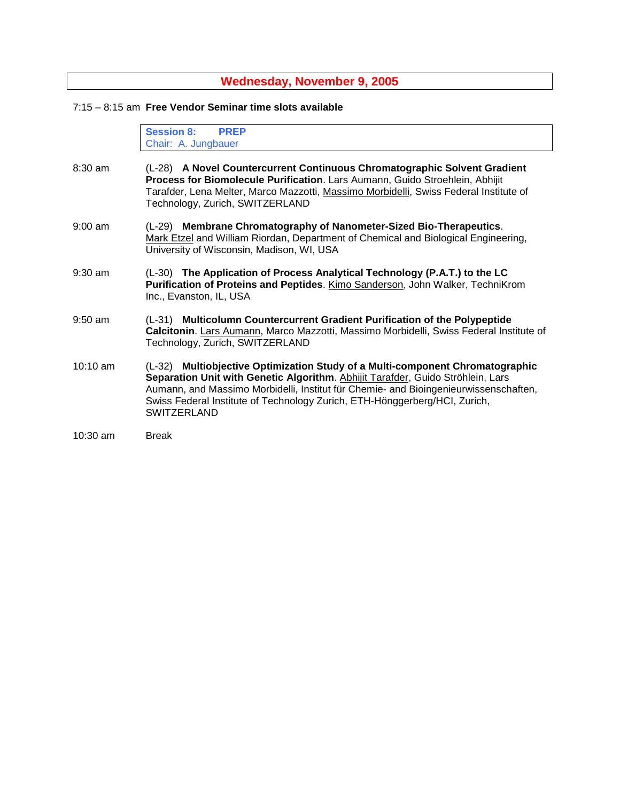### **Wednesday, November 9, 2005**

#### 7:15 –8:15 am **Free Vendor Seminar time slots available**

**Session 8: PREP** Chair: A. Jungbauer

- 8:30 am (L-28) **A Novel Countercurrent Continuous Chromatographic Solvent Gradient Process for Biomolecule Purification**. Lars Aumann, Guido Stroehlein, Abhijit Tarafder, Lena Melter, Marco Mazzotti, Massimo Morbidelli, Swiss Federal Institute of Technology, Zurich, SWITZERLAND
- 9:00 am (L-29) **Membrane Chromatography of Nanometer-Sized Bio-Therapeutics**. Mark Etzel and William Riordan, Department of Chemical and Biological Engineering, University of Wisconsin, Madison, WI, USA
- 9:30 am (L-30) **The Application of Process Analytical Technology (P.A.T.) to the LC Purification of Proteins and Peptides**. Kimo Sanderson, John Walker, TechniKrom Inc., Evanston, IL, USA
- 9:50 am (L-31) **Multicolumn Countercurrent Gradient Purification of the Polypeptide Calcitonin**. Lars Aumann, Marco Mazzotti, Massimo Morbidelli, Swiss Federal Institute of Technology, Zurich, SWITZERLAND
- 10:10 am (L-32) **Multiobjective Optimization Study of a Multi-component Chromatographic** Separation Unit with Genetic Algorithm. Abhijit Tarafder, Guido Ströhlein, Lars Aumann, and Massimo Morbidelli, Institut für Chemie- and Bioingenieurwissenschaften, Swiss Federal Institute of Technology Zurich, ETH-Hönggerberg/HCI, Zurich, **SWITZERLAND**

<sup>10:30</sup> am Break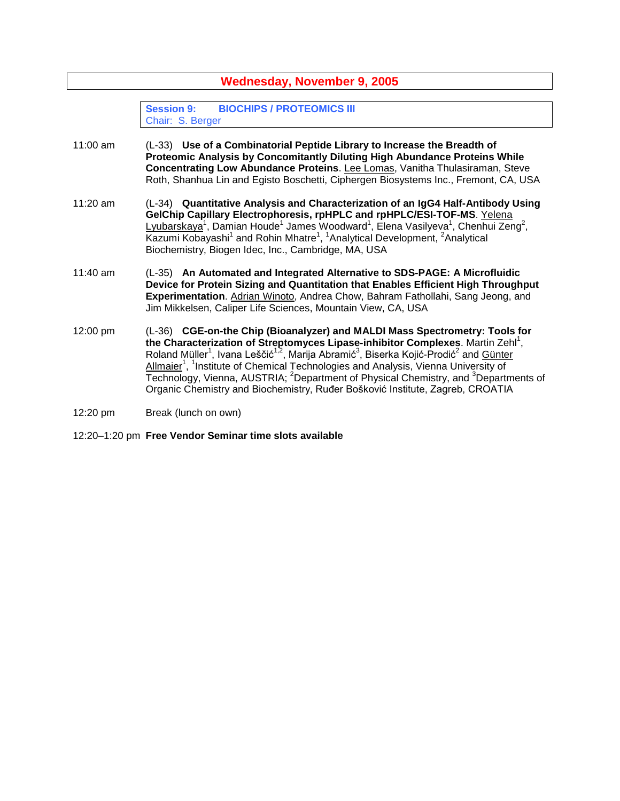| <b>Wednesday, November 9, 2005</b> |                                                                                                                                                                                                                                                                                                                                                                                                                                                                                                                                                                                                                                   |
|------------------------------------|-----------------------------------------------------------------------------------------------------------------------------------------------------------------------------------------------------------------------------------------------------------------------------------------------------------------------------------------------------------------------------------------------------------------------------------------------------------------------------------------------------------------------------------------------------------------------------------------------------------------------------------|
|                                    | <b>Session 9:</b><br><b>BIOCHIPS / PROTEOMICS III</b><br>Chair: S. Berger                                                                                                                                                                                                                                                                                                                                                                                                                                                                                                                                                         |
| 11:00 am                           | (L-33) Use of a Combinatorial Peptide Library to Increase the Breadth of<br>Proteomic Analysis by Concomitantly Diluting High Abundance Proteins While<br>Concentrating Low Abundance Proteins. Lee Lomas, Vanitha Thulasiraman, Steve<br>Roth, Shanhua Lin and Egisto Boschetti, Ciphergen Biosystems Inc., Fremont, CA, USA                                                                                                                                                                                                                                                                                                     |
| $11:20$ am                         | (L-34) Quantitative Analysis and Characterization of an IgG4 Half-Antibody Using<br>GelChip Capillary Electrophoresis, rpHPLC and rpHPLC/ESI-TOF-MS. Yelena<br>Lyubarskaya <sup>1</sup> , Damian Houde <sup>1</sup> James Woodward <sup>1</sup> , Elena Vasilyeva <sup>1</sup> , Chenhui Zeng <sup>2</sup> ,<br>Kazumi Kobayashi <sup>1</sup> and Rohin Mhatre <sup>1</sup> , <sup>1</sup> Analytical Development, <sup>2</sup> Analytical<br>Biochemistry, Biogen Idec, Inc., Cambridge, MA, USA                                                                                                                                 |
| $11:40$ am                         | (L-35) An Automated and Integrated Alternative to SDS-PAGE: A Microfluidic<br>Device for Protein Sizing and Quantitation that Enables Efficient High Throughput<br>Experimentation. Adrian Winoto, Andrea Chow, Bahram Fathollahi, Sang Jeong, and<br>Jim Mikkelsen, Caliper Life Sciences, Mountain View, CA, USA                                                                                                                                                                                                                                                                                                                |
| 12:00 pm                           | (L-36) CGE-on-the Chip (Bioanalyzer) and MALDI Mass Spectrometry: Tools for<br>the Characterization of Streptomyces Lipase-inhibitor Complexes. Martin Zehl <sup>1</sup> ,<br>Roland Müller <sup>1</sup> , Ivana Leščić <sup>1,2</sup> , Marija Abramić <sup>3</sup> , Biserka Kojić-Prodić <sup>2</sup> and Günter<br>Allmaier <sup>1</sup> , <sup>1</sup> Institute of Chemical Technologies and Analysis, Vienna University of<br>Technology, Vienna, AUSTRIA; <sup>2</sup> Department of Physical Chemistry, and <sup>3</sup> Departments of<br>Organic Chemistry and Biochemistry, Ruđer Bošković Institute, Zagreb, CROATIA |
| 12:20 pm                           | Break (lunch on own)                                                                                                                                                                                                                                                                                                                                                                                                                                                                                                                                                                                                              |
|                                    |                                                                                                                                                                                                                                                                                                                                                                                                                                                                                                                                                                                                                                   |

12:20–1:20 pm **Free Vendor Seminar time slots available**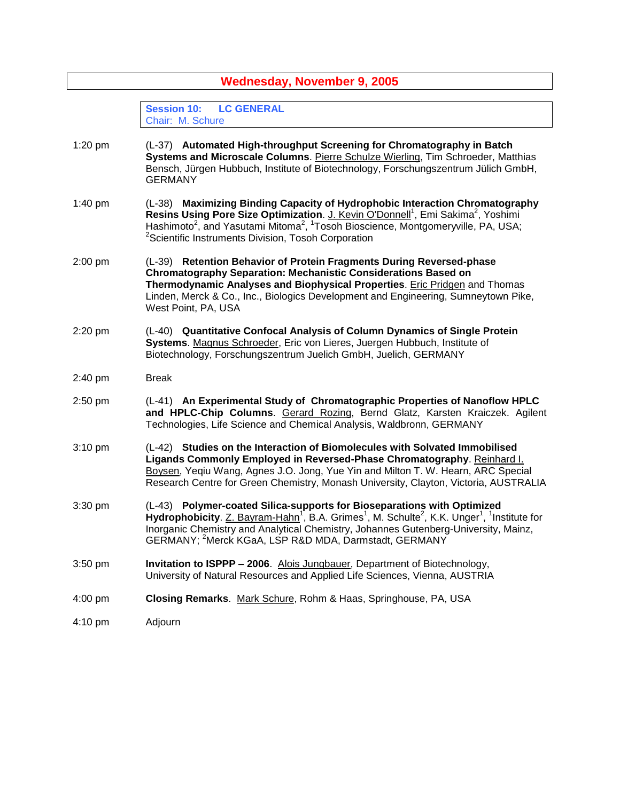| <b>Wednesday, November 9, 2005</b> |                                                                                                                                                                                                                                                                                                                                                                                                  |
|------------------------------------|--------------------------------------------------------------------------------------------------------------------------------------------------------------------------------------------------------------------------------------------------------------------------------------------------------------------------------------------------------------------------------------------------|
|                                    | <b>LC GENERAL</b><br><b>Session 10:</b><br>Chair: M. Schure                                                                                                                                                                                                                                                                                                                                      |
| 1:20 pm                            | (L-37) Automated High-throughput Screening for Chromatography in Batch<br>Systems and Microscale Columns. Pierre Schulze Wierling, Tim Schroeder, Matthias<br>Bensch, Jürgen Hubbuch, Institute of Biotechnology, Forschungszentrum Jülich GmbH,<br><b>GERMANY</b>                                                                                                                               |
| 1:40 pm                            | (L-38) Maximizing Binding Capacity of Hydrophobic Interaction Chromatography<br>Resins Using Pore Size Optimization. J. Kevin O'Donnell <sup>1</sup> , Emi Sakima <sup>2</sup> , Yoshimi<br>Hashimoto <sup>2</sup> , and Yasutami Mitoma <sup>2</sup> , <sup>1</sup> Tosoh Bioscience, Montgomeryville, PA, USA;<br><sup>2</sup> Scientific Instruments Division, Tosoh Corporation              |
| $2:00$ pm                          | (L-39) Retention Behavior of Protein Fragments During Reversed-phase<br><b>Chromatography Separation: Mechanistic Considerations Based on</b><br>Thermodynamic Analyses and Biophysical Properties. Eric Pridgen and Thomas<br>Linden, Merck & Co., Inc., Biologics Development and Engineering, Sumneytown Pike,<br>West Point, PA, USA                                                         |
| 2:20 pm                            | (L-40) Quantitative Confocal Analysis of Column Dynamics of Single Protein<br>Systems. Magnus Schroeder, Eric von Lieres, Juergen Hubbuch, Institute of<br>Biotechnology, Forschungszentrum Juelich GmbH, Juelich, GERMANY                                                                                                                                                                       |
| 2:40 pm                            | <b>Break</b>                                                                                                                                                                                                                                                                                                                                                                                     |
| 2:50 pm                            | (L-41) An Experimental Study of Chromatographic Properties of Nanoflow HPLC<br>and HPLC-Chip Columns. Gerard Rozing, Bernd Glatz, Karsten Kraiczek. Agilent<br>Technologies, Life Science and Chemical Analysis, Waldbronn, GERMANY                                                                                                                                                              |
| $3:10$ pm                          | (L-42) Studies on the Interaction of Biomolecules with Solvated Immobilised<br>Ligands Commonly Employed in Reversed-Phase Chromatography. Reinhard I.<br>Boysen, Yeqiu Wang, Agnes J.O. Jong, Yue Yin and Milton T. W. Hearn, ARC Special<br>Research Centre for Green Chemistry, Monash University, Clayton, Victoria, AUSTRALIA                                                               |
| 3:30 pm                            | (L-43) Polymer-coated Silica-supports for Bioseparations with Optimized<br>Hydrophobicity. $Z.$ Bayram-Hahn <sup>1</sup> , B.A. Grimes <sup>1</sup> , M. Schulte <sup>2</sup> , K.K. Unger <sup>1</sup> , <sup>1</sup> Institute for<br>Inorganic Chemistry and Analytical Chemistry, Johannes Gutenberg-University, Mainz,<br>GERMANY: <sup>2</sup> Merck KGaA, LSP R&D MDA, Darmstadt, GERMANY |
| $3:50$ pm                          | <b>Invitation to ISPPP - 2006.</b> Alois Jungbauer, Department of Biotechnology,<br>University of Natural Resources and Applied Life Sciences, Vienna, AUSTRIA                                                                                                                                                                                                                                   |
| $4:00$ pm                          | Closing Remarks. Mark Schure, Rohm & Haas, Springhouse, PA, USA                                                                                                                                                                                                                                                                                                                                  |
| 4:10 pm                            | Adjourn                                                                                                                                                                                                                                                                                                                                                                                          |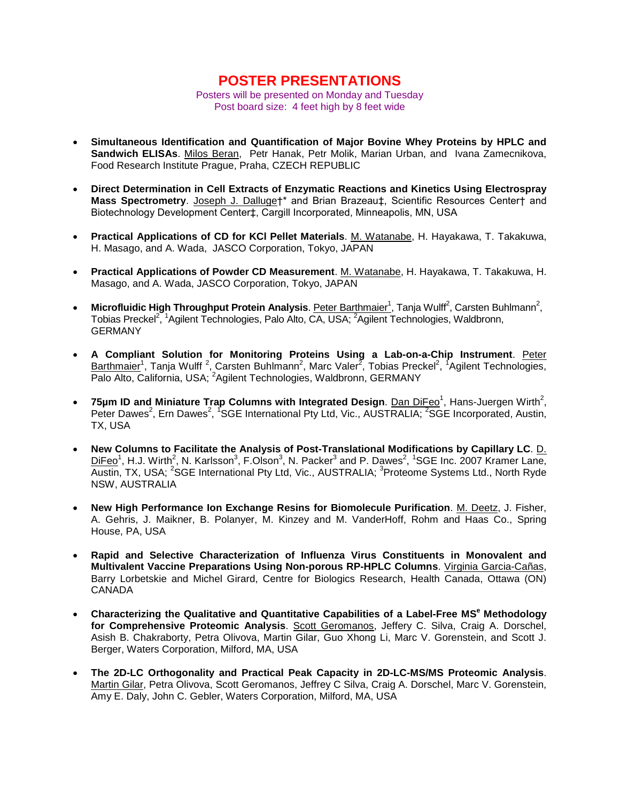# **POSTER PRESENTATIONS**

Posters will be presented on Monday and Tuesday Post board size: 4 feet high by 8 feet wide

- **Simultaneous Identification and Quantification of Major Bovine Whey Proteins by HPLC and Sandwich ELISAs**. Milos Beran, Petr Hanak, Petr Molik, Marian Urban, and Ivana Zamecnikova, Food Research Institute Prague, Praha, CZECH REPUBLIC
- **Direct Determination in Cell Extracts of Enzymatic Reactions and Kinetics Using Electrospray** Mass Spectrometry. Joseph J. Dalluge†\* and Brian Brazeau‡, Scientific Resources Center† and Biotechnology Development Center‡, Cargill Incorporated, Minneapolis, MN, USA
- **Practical Applications of CD for KCl Pellet Materials**. M. Watanabe, H. Hayakawa, T. Takakuwa, H. Masago, and A. Wada, JASCO Corporation, Tokyo, JAPAN
- **Practical Applications of Powder CD Measurement**. M. Watanabe, H. Hayakawa, T. Takakuwa, H. Masago, and A. Wada, JASCO Corporation, Tokyo, JAPAN
- Microfluidic High Throughput Protein Analysis. Peter Barthmaier<sup>1</sup>, Tanja Wulff<sup>2</sup>, Carsten Buhlmann<sup>2</sup>, Tobias Preckel<sup>2, 1</sup>Agilent Technologies, Palo Alto, CA, USA; <sup>2</sup>Agilent Technologies, Waldbronn, **GERMANY**
- **A Compliant Solution for Monitoring Proteins Using a Lab-on-a-Chip Instrument**. Peter Barthmaier<sup>1</sup>, Tanja Wulff<sup>2</sup>, Carsten Buhlmann<sup>2</sup>, Marc Valer<sup>2</sup>, Tobias Preckel<sup>2</sup>, <sup>1</sup>Agilent Technologies, Palo Alto, California, USA; <sup>2</sup>Agilent Technologies, Waldbronn, GERMANY
- **75µm ID and Miniature Trap Columns with Integrated Design. Dan DiFeo<sup>1</sup>, Hans-Juergen Wirth<sup>2</sup>,** Peter Dawes<sup>2</sup>, Ern Dawes<sup>2</sup>, <sup>1</sup>SGE International Pty Ltd, Vic., AUSTRALIA; <sup>2</sup>SGE Incorporated, Austin, TX, USA
- **New Columns to Facilitate the Analysis of Post-Translational Modifications by Capillary LC**. D.  $DiFeo<sup>1</sup>$ , H.J. Wirth<sup>2</sup>, N. Karlsson<sup>3</sup>, F.Olson<sup>3</sup>, N. Packer<sup>3</sup> and P. Dawes<sup>2</sup>, <sup>1</sup>SGE Inc. 2007 Kramer Lane, Austin, TX, USA; <sup>2</sup>SGE International Pty Ltd, Vic., AUSTRALIA; <sup>3</sup>Proteome Systems Ltd., North Ryde NSW, AUSTRALIA
- **New High Performance Ion Exchange Resins for Biomolecule Purification**. M. Deetz, J. Fisher, A. Gehris, J. Maikner, B. Polanyer, M. Kinzey and M. VanderHoff, Rohm and Haas Co., Spring House, PA, USA
- **Rapid and Selective Characterization of Influenza Virus Constituents in Monovalent and Multivalent Vaccine Preparations Using Non-porous RP-HPLC Columns**. Virginia Garcia-Cañas, Barry Lorbetskie and Michel Girard, Centre for Biologics Research, Health Canada, Ottawa (ON) CANADA
- **Characterizing the Qualitative and Quantitative Capabilities of a Label-Free MS<sup>e</sup> Methodology for Comprehensive Proteomic Analysis**. Scott Geromanos, Jeffery C. Silva, Craig A. Dorschel, Asish B. Chakraborty, Petra Olivova, Martin Gilar, Guo Xhong Li, Marc V. Gorenstein, and Scott J. Berger, Waters Corporation, Milford, MA, USA
- **The 2D-LC Orthogonality and Practical Peak Capacity in 2D-LC-MS/MS Proteomic Analysis**. Martin Gilar, Petra Olivova, Scott Geromanos, Jeffrey C Silva, Craig A. Dorschel, Marc V. Gorenstein, Amy E. Daly, John C. Gebler, Waters Corporation, Milford, MA, USA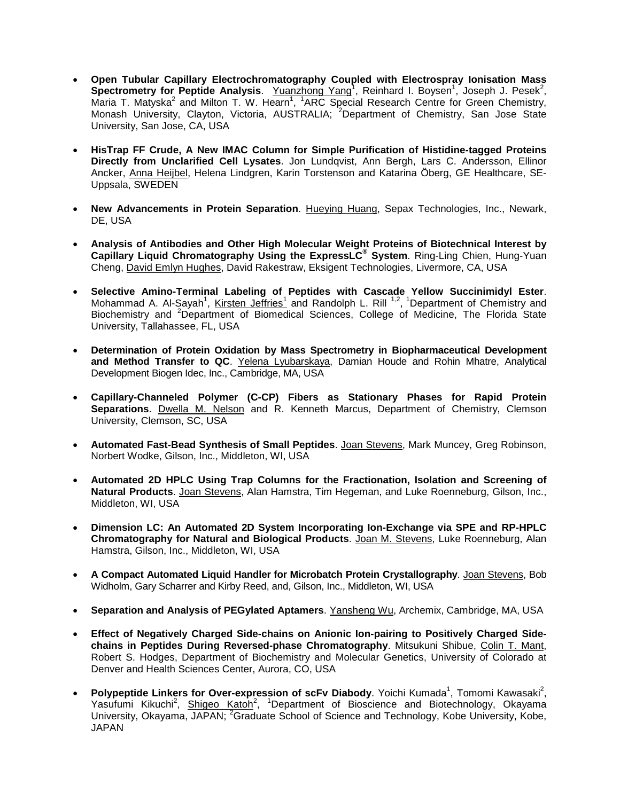- **Open Tubular Capillary Electrochromatography Coupled with Electrospray Ionisation Mass** Spectrometry for Peptide Analysis. Yuanzhong Yang<sup>1</sup>, Reinhard I. Boysen<sup>1</sup>, Joseph J. Pesek<sup>2</sup>, Maria T. Matyska<sup>2</sup> and Milton T. W. Hearn<sup>1</sup>, <sup>1</sup>ARC Special Research Centre for Green Chemistry, Monash University, Clayton, Victoria, AUSTRALIA; <sup>2</sup>Department of Chemistry, San Jose State University, San Jose, CA, USA
- **HisTrap FF Crude, A New IMAC Column for Simple Purification of Histidine-tagged Proteins Directly from Unclarified Cell Lysates**. Jon Lundqvist, Ann Bergh, Lars C. Andersson, Ellinor Ancker, Anna Heijbel, Helena Lindgren, Karin Torstenson and Katarina Öberg, GE Healthcare, SE-Uppsala, SWEDEN
- **New Advancements in Protein Separation**. Hueying Huang, Sepax Technologies, Inc., Newark, DE, USA
- **Analysis of Antibodies and Other High Molecular Weight Proteins of Biotechnical Interest by Capillary Liquid Chromatography Using the ExpressLC® System**. Ring-Ling Chien, Hung-Yuan Cheng, David Emlyn Hughes, David Rakestraw, Eksigent Technologies, Livermore, CA, USA
- **Selective Amino-Terminal Labeling of Peptides with Cascade Yellow Succinimidyl Ester**. Mohammad A. Al-Sayah<sup>1</sup>, Kirsten Jeffries<sup>1</sup> and Randolph L. Rill <sup>1,2</sup>, <sup>1</sup>Department of Chemistry and Biochemistry and <sup>2</sup>Department of Biomedical Sciences, College of Medicine, The Florida State University, Tallahassee, FL, USA
- **Determination of Protein Oxidation by Mass Spectrometry in Biopharmaceutical Development and Method Transfer to QC**. Yelena Lyubarskaya, Damian Houde and Rohin Mhatre, Analytical Development Biogen Idec, Inc., Cambridge, MA, USA
- **Capillary-Channeled Polymer (C-CP) Fibers as Stationary Phases for Rapid Protein Separations**. Dwella M. Nelson and R. Kenneth Marcus, Department of Chemistry, Clemson University, Clemson, SC, USA
- **Automated Fast-Bead Synthesis of Small Peptides**. Joan Stevens, Mark Muncey, Greg Robinson, Norbert Wodke, Gilson, Inc., Middleton, WI, USA
- **Automated 2D HPLC Using Trap Columns for the Fractionation, Isolation and Screening of Natural Products**. Joan Stevens, Alan Hamstra, Tim Hegeman, and Luke Roenneburg, Gilson, Inc., Middleton, WI, USA
- **Dimension LC: An Automated 2D System Incorporating Ion-Exchange via SPE and RP-HPLC Chromatography for Natural and Biological Products**. Joan M. Stevens, Luke Roenneburg, Alan Hamstra, Gilson, Inc., Middleton, WI, USA
- **A Compact Automated Liquid Handler for Microbatch Protein Crystallography**. Joan Stevens, Bob Widholm, Gary Scharrer and Kirby Reed, and, Gilson, Inc., Middleton, WI, USA
- **Separation and Analysis of PEGylated Aptamers**. Yansheng Wu, Archemix, Cambridge, MA, USA
- **Effect of Negatively Charged Side-chains on Anionic Ion-pairing to Positively Charged Sidechains in Peptides During Reversed-phase Chromatography**. Mitsukuni Shibue, Colin T. Mant, Robert S. Hodges, Department of Biochemistry and Molecular Genetics, University of Colorado at Denver and Health Sciences Center, Aurora, CO, USA
- Polypeptide Linkers for Over-expression of scFv Diabody. Yoichi Kumada<sup>1</sup>, Tomomi Kawasaki<sup>2</sup>, Yasufumi Kikuchi<sup>2</sup>, Shigeo Katoh<sup>2</sup>, <sup>1</sup>Department of Bioscience and Biotechnology, Okayama University, Okayama, JAPAN; <sup>2</sup>Graduate School of Science and Technology, Kobe University, Kobe, JAPAN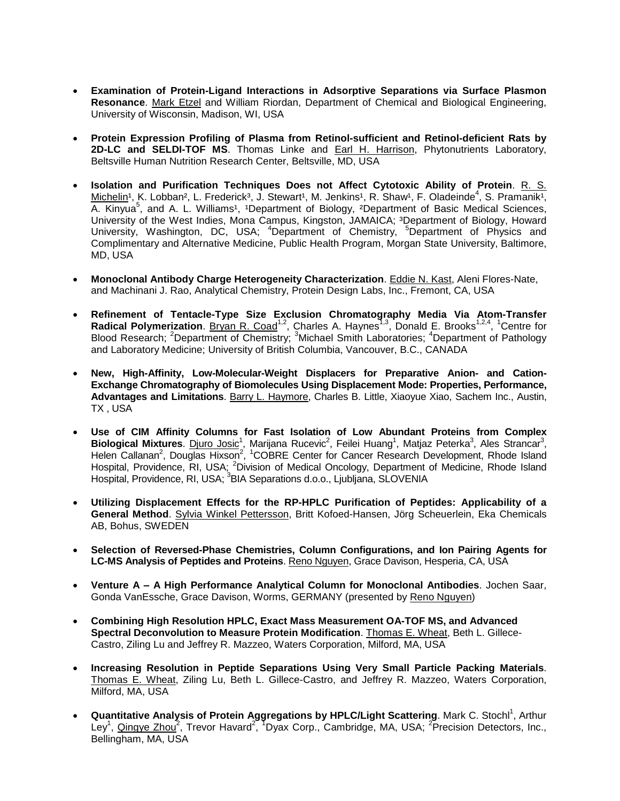- **Examination of Protein-Ligand Interactions in Adsorptive Separations via Surface Plasmon Resonance**. Mark Etzel and William Riordan, Department of Chemical and Biological Engineering, University of Wisconsin, Madison, WI, USA
- **Protein Expression Profiling of Plasma from Retinol-sufficient and Retinol-deficient Rats by 2D-LC and SELDI-TOF MS**. Thomas Linke and Earl H. Harrison, Phytonutrients Laboratory, Beltsville Human Nutrition Research Center, Beltsville, MD, USA
- **Isolation and Purification Techniques Does not Affect Cytotoxic Ability of Protein**. R. S. Michelin<sup>1</sup>, K. Lobban<sup>2</sup>, L. Frederick<sup>3</sup>, J. Stewart<sup>1</sup>, M. Jenkins<sup>1</sup>, R. Shaw<sup>1</sup>, F. Oladeinde<sup>4</sup>, S. Pramanik<sup>1</sup>, A. Kinyua<sup>5</sup>, and A. L. Williams<sup>1</sup>, <sup>1</sup>Department of Biology, <sup>2</sup>Department of Basic Medical Sciences, University of the West Indies, Mona Campus, Kingston, JAMAICA; <sup>3</sup>Department of Biology, Howard University, Washington, DC, USA; <sup>4</sup>Department of Chemistry, <sup>5</sup>Department of Physics and Complimentary and Alternative Medicine, Public Health Program, Morgan State University, Baltimore, MD, USA
- **Monoclonal Antibody Charge Heterogeneity Characterization**. Eddie N. Kast, Aleni Flores-Nate, and Machinani J. Rao, Analytical Chemistry, Protein Design Labs, Inc., Fremont, CA, USA
- **Refinement of Tentacle-Type Size Exclusion Chromatography Media Via Atom-Transfer** Radical Polymerization. **Bryan R. Coad<sup>1,2</sup>, Charles A. Haynes<sup>1,3</sup>, Donald E. Brooks<sup>1,2,4</sup>, <sup>1</sup>Centre for** Blood Research; <sup>2</sup>Department of Chemistry; <sup>3</sup>Michael Smith Laboratories; <sup>4</sup>Department of Pathology and Laboratory Medicine; University of British Columbia, Vancouver, B.C., CANADA
- **New, High-Affinity, Low-Molecular-Weight Displacers for Preparative Anion- and Cation-Exchange Chromatography of Biomolecules Using Displacement Mode: Properties, Performance, Advantages and Limitations**. Barry L. Haymore, Charles B. Little, Xiaoyue Xiao, Sachem Inc., Austin, TX , USA
- **Use of CIM Affinity Columns for Fast Isolation of Low Abundant Proteins from Complex** Biological Mixtures. Diuro Josic<sup>1</sup>, Marijana Rucevic<sup>2</sup>, Feilei Huang<sup>1</sup>, Matjaz Peterka<sup>3</sup>, Ales Strancar<sup>3</sup>, Helen Callanan<sup>2</sup>, Douglas Hixson<sup>2</sup>, <sup>1</sup>COBRE Center for Cancer Research Development, Rhode Island Hospital, Providence, RI, USA; <sup>2</sup>Division of Medical Oncology, Department of Medicine, Rhode Island Hospital, Providence, RI, USA; <sup>3</sup>BIA Separations d.o.o., Ljubljana, SLOVENIA
- **Utilizing Displacement Effects for the RP-HPLC Purification of Peptides: Applicability of a General Method**. Sylvia Winkel Pettersson, Britt Kofoed-Hansen, Jörg Scheuerlein, Eka Chemicals AB, Bohus, SWEDEN
- **Selection of Reversed-Phase Chemistries, Column Configurations, and Ion Pairing Agents for** LC-MS Analysis of Peptides and Proteins. Reno Nguyen, Grace Davison, Hesperia, CA, USA
- **Venture A –A High Performance Analytical Column for Monoclonal Antibodies**. Jochen Saar, Gonda VanEssche, Grace Davison, Worms, GERMANY (presented by Reno Nguyen)
- **Combining High Resolution HPLC, Exact Mass Measurement OA-TOF MS, and Advanced Spectral Deconvolution to Measure Protein Modification**. Thomas E. Wheat, Beth L. Gillece-Castro, Ziling Lu and Jeffrey R. Mazzeo, Waters Corporation, Milford, MA, USA
- **Increasing Resolution in Peptide Separations Using Very Small Particle Packing Materials**. Thomas E. Wheat, Ziling Lu, Beth L. Gillece-Castro, and Jeffrey R. Mazzeo, Waters Corporation, Milford, MA, USA
- **Quantitative Analysis of Protein Aggregations by HPLC/Light Scattering. Mark C. Stochl<sup>1</sup>, Arthur** Ley<sup>1</sup>, <u>Qingye Zhou</u><sup>2</sup>, Trevor Havard<sup>2</sup>, <sup>T</sup>Dyax Corp., Cambridge, MA, USA; <sup>2</sup> Precision Detectors, Inc., Bellingham, MA, USA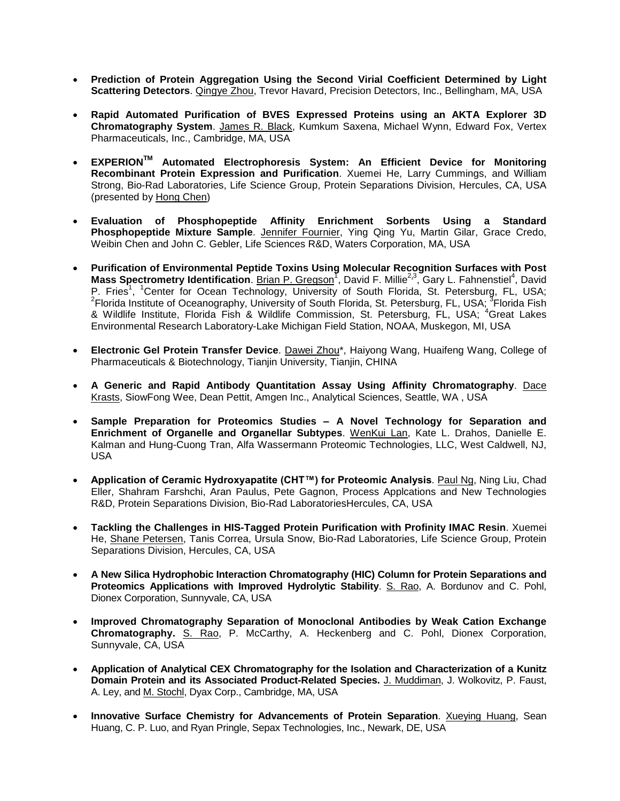- **Prediction of Protein Aggregation Using the Second Virial Coefficient Determined by Light Scattering Detectors**. Qingye Zhou, Trevor Havard, Precision Detectors, Inc., Bellingham, MA, USA
- **Rapid Automated Purification of BVES Expressed Proteins using an AKTA Explorer 3D Chromatography System**. James R. Black, Kumkum Saxena, Michael Wynn, Edward Fox, Vertex Pharmaceuticals, Inc., Cambridge, MA, USA
- **EXPERIONTM Automated Electrophoresis System: An Efficient Device for Monitoring Recombinant Protein Expression and Purification**. Xuemei He, Larry Cummings, and William Strong, Bio-Rad Laboratories, Life Science Group, Protein Separations Division, Hercules, CA, USA (presented by Hong Chen)
- **Evaluation of Phosphopeptide Affinity Enrichment Sorbents Using a Standard Phosphopeptide Mixture Sample**. Jennifer Fournier, Ying Qing Yu, Martin Gilar, Grace Credo, Weibin Chen and John C. Gebler, Life Sciences R&D, Waters Corporation, MA, USA
- **Purification of Environmental Peptide Toxins Using Molecular Recognition Surfaces with Post** Mass Spectrometry Identification. Brian P. Gregson<sup>T</sup>, David F. Millie<sup>2,3</sup>, Gary L. Fahnenstiel<sup>4</sup>, David P. Fries<sup>1</sup>, <sup>1</sup>Center for Ocean Technology, University of South Florida, St. Petersburg, FL, USA; <sup>2</sup>Florida Institute of Oceanography, University of South Florida, St. Petersburg, FL, USA; <sup>3</sup>Florida Fish & Wildlife Institute, Florida Fish & Wildlife Commission, St. Petersburg, FL, USA; <sup>4</sup>Great Lakes Environmental Research Laboratory-Lake Michigan Field Station, NOAA, Muskegon, MI, USA
- **Electronic Gel Protein Transfer Device**. Dawei Zhou\*, Haiyong Wang, Huaifeng Wang, College of Pharmaceuticals & Biotechnology, Tianjin University, Tianjin, CHINA
- **A Generic and Rapid Antibody Quantitation Assay Using Affinity Chromatography**. Dace Krasts, SiowFong Wee, Dean Pettit, Amgen Inc., Analytical Sciences, Seattle, WA , USA
- **Sample Preparation for Proteomics Studies – A Novel Technology for Separation and Enrichment of Organelle and Organellar Subtypes**. WenKui Lan, Kate L. Drahos, Danielle E. Kalman and Hung-Cuong Tran, Alfa Wassermann Proteomic Technologies, LLC, West Caldwell, NJ, USA
- **Application of Ceramic Hydroxyapatite (CHT™) for Proteomic Analysis**. Paul Ng, Ning Liu, Chad Eller, Shahram Farshchi, Aran Paulus, Pete Gagnon, Process Applcations and New Technologies R&D, Protein Separations Division, Bio-Rad LaboratoriesHercules, CA, USA
- **Tackling the Challenges in HIS-Tagged Protein Purification with Profinity IMAC Resin**. Xuemei He, Shane Petersen, Tanis Correa, Ursula Snow, Bio-Rad Laboratories, Life Science Group, Protein Separations Division, Hercules, CA, USA
- **A New Silica Hydrophobic Interaction Chromatography (HIC) Column for Protein Separations and Proteomics Applications with Improved Hydrolytic Stability**. S. Rao, A. Bordunov and C. Pohl, Dionex Corporation, Sunnyvale, CA, USA
- **Improved Chromatography Separation of Monoclonal Antibodies by Weak Cation Exchange Chromatography.** S. Rao, P. McCarthy, A. Heckenberg and C. Pohl, Dionex Corporation, Sunnyvale, CA, USA
- **Application of Analytical CEX Chromatography for the Isolation and Characterization of a Kunitz Domain Protein and its Associated Product-Related Species.** J. Muddiman, J. Wolkovitz, P. Faust, A. Ley, and M. Stochl, Dyax Corp., Cambridge, MA, USA
- **Innovative Surface Chemistry for Advancements of Protein Separation**. Xueying Huang, Sean Huang, C. P. Luo, and Ryan Pringle, Sepax Technologies, Inc., Newark, DE, USA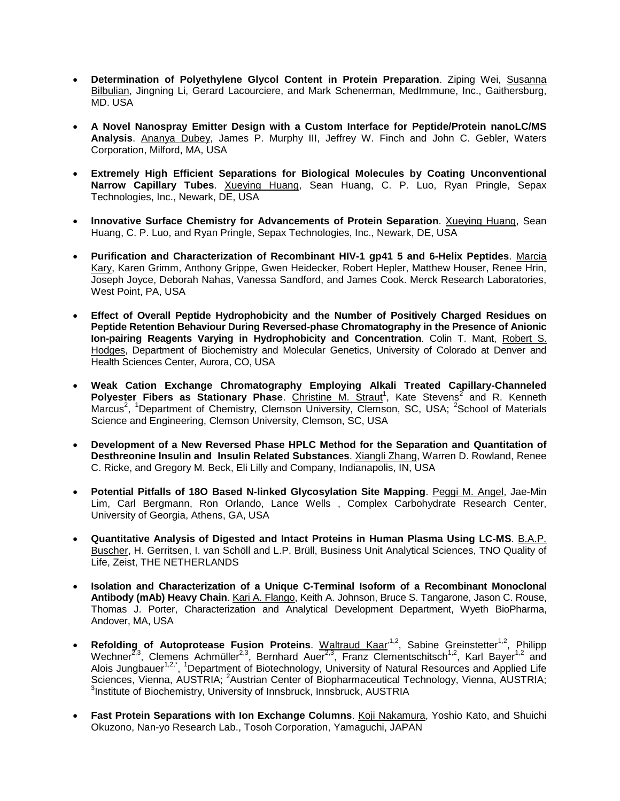- **Determination of Polyethylene Glycol Content in Protein Preparation**. Ziping Wei, Susanna Bilbulian, Jingning Li, Gerard Lacourciere, and Mark Schenerman, MedImmune, Inc., Gaithersburg, MD. USA
- **A Novel Nanospray Emitter Design with a Custom Interface for Peptide/Protein nanoLC/MS Analysis**. Ananya Dubey, James P. Murphy III, Jeffrey W. Finch and John C. Gebler, Waters Corporation, Milford, MA, USA
- **Extremely High Efficient Separations for Biological Molecules by Coating Unconventional Narrow Capillary Tubes**. Xueying Huang, Sean Huang, C. P. Luo, Ryan Pringle, Sepax Technologies, Inc., Newark, DE, USA
- **Innovative Surface Chemistry for Advancements of Protein Separation**. Xueying Huang, Sean Huang, C. P. Luo, and Ryan Pringle, Sepax Technologies, Inc., Newark, DE, USA
- **Purification and Characterization of Recombinant HIV-1 gp41 5 and 6-Helix Peptides**. Marcia Kary, Karen Grimm, Anthony Grippe, Gwen Heidecker, Robert Hepler, Matthew Houser, Renee Hrin, Joseph Joyce, Deborah Nahas, Vanessa Sandford, and James Cook. Merck Research Laboratories, West Point, PA, USA
- **Effect of Overall Peptide Hydrophobicity and the Number of Positively Charged Residues on Peptide Retention Behaviour During Reversed-phase Chromatography in the Presence of Anionic Ion-pairing Reagents Varying in Hydrophobicity and Concentration**. Colin T. Mant, Robert S. Hodges, Department of Biochemistry and Molecular Genetics, University of Colorado at Denver and Health Sciences Center, Aurora, CO, USA
- **Weak Cation Exchange Chromatography Employing Alkali Treated Capillary-Channeled** Polyester Fibers as Stationary Phase. Christine M. Straut<sup>1</sup>, Kate Stevens<sup>2</sup> and R. Kenneth Marcus<sup>2</sup>, <sup>1</sup>Department of Chemistry, Clemson University, Clemson, SC, USA; <sup>2</sup>School of Materials Science and Engineering, Clemson University, Clemson, SC, USA
- **Development of a New Reversed Phase HPLC Method for the Separation and Quantitation of Desthreonine Insulin and Insulin Related Substances**. Xiangli Zhang, Warren D. Rowland, Renee C. Ricke, and Gregory M. Beck, Eli Lilly and Company, Indianapolis, IN, USA
- Potential Pitfalls of 180 Based N-linked Glycosylation Site Mapping. Peggi M. Angel, Jae-Min Lim, Carl Bergmann, Ron Orlando, Lance Wells , Complex Carbohydrate Research Center, University of Georgia, Athens, GA, USA
- **Quantitative Analysis of Digested and Intact Proteins in Human Plasma Using LC-MS**. B.A.P. Buscher, H. Gerritsen, I. van Schöll and L.P. Brüll, Business Unit Analytical Sciences, TNO Quality of Life, Zeist, THE NETHERLANDS
- **Isolation and Characterization of a Unique C-Terminal Isoform of a Recombinant Monoclonal Antibody (mAb) Heavy Chain**. Kari A. Flango, Keith A. Johnson, Bruce S. Tangarone, Jason C. Rouse, Thomas J. Porter, Characterization and Analytical Development Department, Wyeth BioPharma, Andover, MA, USA
- **Refolding of Autoprotease Fusion Proteins**. Waltraud Kaar<sup>1,2</sup>, Sabine Greinstetter<sup>1,2</sup>, Philipp Wechner<sup>2,3</sup>, Clemens Achmüller<sup>2,3</sup>, Bernhard Auer<sup>2,3</sup>, Franz Clementschitsch<sup>1,2</sup>, Karl Bayer<sup>1,2</sup> and Alois Jungbauer<sup>1,2,\*</sup>, <sup>1</sup>Department of Biotechnology, University of Natural Resources and Applied Life Sciences, Vienna, AUSTRIA; <sup>2</sup>Austrian Center of Biopharmaceutical Technology, Vienna, AUSTRIA; <sup>3</sup>Institute of Biochemistry, University of Innsbruck, Innsbruck, AUSTRIA
- **Fast Protein Separations with Ion Exchange Columns**. Koji Nakamura, Yoshio Kato, and Shuichi Okuzono, Nan-yo Research Lab., Tosoh Corporation, Yamaguchi, JAPAN